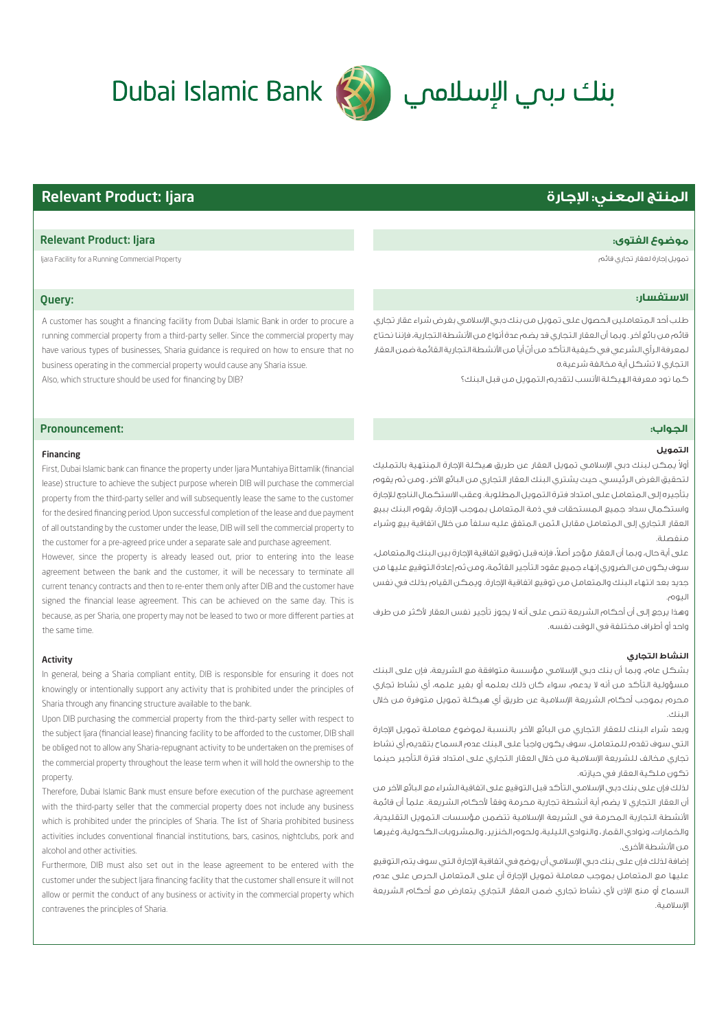# **المنتج المعني: اجارة** Ijara :Product Relevant

# **الاستفسار:**

طلب أحد المتعاملين الحصول على تمويل من بنك دبي اسلامي بغرض شراء عقار تجاري قائم من بائع آخر. وبما أن العقار التجاري قد يضم عدة أنواع من انشطة التجارية، فإننا نحتاج لمعرفة الرأي الشرعي في كيفية التأكد من أنّ أياً من الأنشطة التجارية القائمة ضمن العقار التجاري لا تشكل أية مخالفة شرعية.ه

كما نود معرفة الهيكلة انسب لتقديم التمويل من قبل البنك؟

# Pronouncement:

# Financing

First, Dubai Islamic bank can finance the property under Ijara Muntahiya Bittamlik (financial lease) structure to achieve the subject purpose wherein DIB will purchase the commercial property from the third-party seller and will subsequently lease the same to the customer for the desired financing period. Upon successful completion of the lease and due payment of all outstanding by the customer under the lease, DIB will sell the commercial property to the customer for a pre-agreed price under a separate sale and purchase agreement.

However, since the property is already leased out, prior to entering into the lease agreement between the bank and the customer, it will be necessary to terminate all current tenancy contracts and then to re-enter them only after DIB and the customer have signed the financial lease agreement. This can be achieved on the same day. This is because, as per Sharia, one property may not be leased to two or more different parties at the same time.

## Activity

In general, being a Sharia compliant entity, DIB is responsible for ensuring it does not knowingly or intentionally support any activity that is prohibited under the principles of Sharia through any financing structure available to the bank.

Upon DIB purchasing the commercial property from the third-party seller with respect to the subject Ijara (financial lease) financing facility to be afforded to the customer, DIB shall be obliged not to allow any Sharia-repugnant activity to be undertaken on the premises of the commercial property throughout the lease term when it will hold the ownership to the property.

Therefore, Dubai Islamic Bank must ensure before execution of the purchase agreement with the third-party seller that the commercial property does not include any business which is prohibited under the principles of Sharia. The list of Sharia prohibited business activities includes conventional financial institutions, bars, casinos, nightclubs, pork and alcohol and other activities.

Furthermore, DIB must also set out in the lease agreement to be entered with the customer under the subject Ijara financing facility that the customer shall ensure it will not allow or permit the conduct of any business or activity in the commercial property which contravenes the principles of Sharia.

# **التمويل**

**الجواب:ز**

ولاً يمكن لبنك دبي الإسلامي تمويل العقار عن طريق هيكلة الإجارة المنتهية بالتمليك لتحقيق الغرض الرئيسي، حيث يشتري البنك العقار التجاري من البائع الآخر، ومن ثم يقوم بتأجيره إلى المتعامل على امتداد فترة التمويل المطلوبة. وعقب الاستكمال الناجح ل́جارة واستكمال سداد جميع المستحقات في ذمة المتعامل بموجب اجارة، يقوم البنك ببيع العقار التجاري إلى المتعامل مقابل الثمن المتفق عليه سلفاً من خلال اتفاقية بيع وشراء منفصلة.ر

على أية حال، وبما أن العقار مؤجر أصلاً، فإنه قبل توقيع اتفاقية الإجارة بين البنك والمتعامل، سوف يكون من الضروري إنهاء جميع عقود التأجير القائمة، ومن ثم إعادة التوقيع عليها من جديد بعد انتهاء البنك والمتعامل من توقيع اتفاقية الإجارة. ويمكن القيام بذلك في نفس اليوم.ؤ

وهذا يرجع إلى أن أحكام الشريعة تنص على أنه لا يجوز تأجير نفس العقار كثر من طرف واحد أو أطراف مختلفة في الوقت نفسه.

# **النشاط التجاري**

بشكل عام، وبما أن بنك دبي اسلامي مؤسسة متوافقة مع الشريعة، فإن على البنك مسؤولية التأكد من أنه لا يدعم، سواء كان ذلك بعلمه أو بغير علمه، أي نشاط تجاري محرم بموجب أحكام الشريعة اسلامية عن طريق أي هيكلة تمويل متوفرة من خلال البنك.ي

وبعد شراء البنك للعقار التجاري من البائع الآخر بالنسبة لموضوع معاملة تمويل الإجارة التي سوف تقدم للمتعامل، سوف يكون واجب على البنك عدم السماح بتقديم أي نشاط تجاري مخالف للشريعة اسلامية من خلال العقار التجاري على امتداد فترة التأجير حينما تكون ملكية العقار في حيازته.س

لذلك فإن على بنك دبي الإسلامي التأكد قبل التوقيع على اتفاقية الشراء مع البائع الآخر من أن العقار التجاري لا يضم أية أنشطة تجارية محرمة وفقاً لأحكام الشريعة. علماً أن قائمة انشطة التجارية المحرمة في الشريعة اسلامية تتضمن مؤسسات التمويل التقليدية، والخمارات، ونوادي القمار، والنوادي الليلية، ولحوم الخنزير، والمشروبات الكحولية، وغيرها من الأنشطة الأخرى.

إضافة لذلك فإن على بنك دبي اسلامي أن يوضح في اتفاقية اجارة التي سوف يتم التوقيع عليها مع المتعامل بموجب معاملة تمويل اجارة أن على المتعامل الحرص على عدم السماح أو منع الإذن لأي نشاط تجاري ضمن العقار التجاري يتعارض مع أحكام الشريعة اسلامية.ب

# Relevant Product: Ijara **:الفتوى موضوع**

Ijara Facility for a Running Commercial Property قائم تجاري لعقار إجارة تمويل

# Dubai Islamic Bank (رنك) الإسلامي

Query:

running commercial property from a third-party seller. Since the commercial property may have various types of businesses, Sharia guidance is required on how to ensure that no business operating in the commercial property would cause any Sharia issue. Also, which structure should be used for financing by DIB?

A customer has sought a financing facility from Dubai Islamic Bank in order to procure a